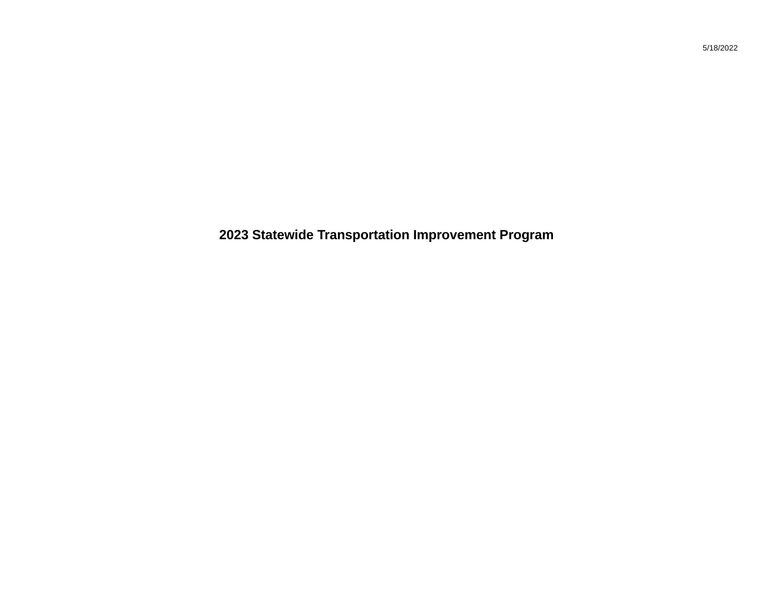**2023 Statewide Transportation Improvement Program**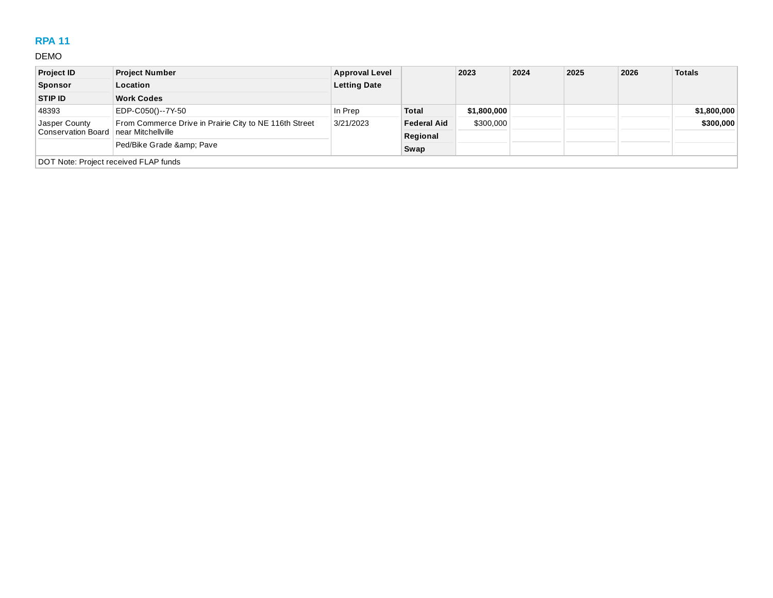# **RPA 11**

#### DEMO

| <b>Project ID</b>                     | <b>Project Number</b>                                  | <b>Approval Level</b> |                    | 2023        | 2024 | 2025 | 2026 | <b>Totals</b> |
|---------------------------------------|--------------------------------------------------------|-----------------------|--------------------|-------------|------|------|------|---------------|
| <b>Sponsor</b>                        | Location                                               | <b>Letting Date</b>   |                    |             |      |      |      |               |
| STIP ID                               | <b>Work Codes</b>                                      |                       |                    |             |      |      |      |               |
| 48393                                 | EDP-C050()--7Y-50                                      | In Prep               | <b>Total</b>       | \$1,800,000 |      |      |      | \$1,800,000   |
| Jasper County                         | From Commerce Drive in Prairie City to NE 116th Street | 3/21/2023             | <b>Federal Aid</b> | \$300,000   |      |      |      | \$300,000     |
| <b>Conservation Board</b>             | near Mitchellville                                     |                       | Regional           |             |      |      |      |               |
|                                       | Ped/Bike Grade & Pave                                  |                       | Swap               |             |      |      |      |               |
| DOT Note: Project received FLAP funds |                                                        |                       |                    |             |      |      |      |               |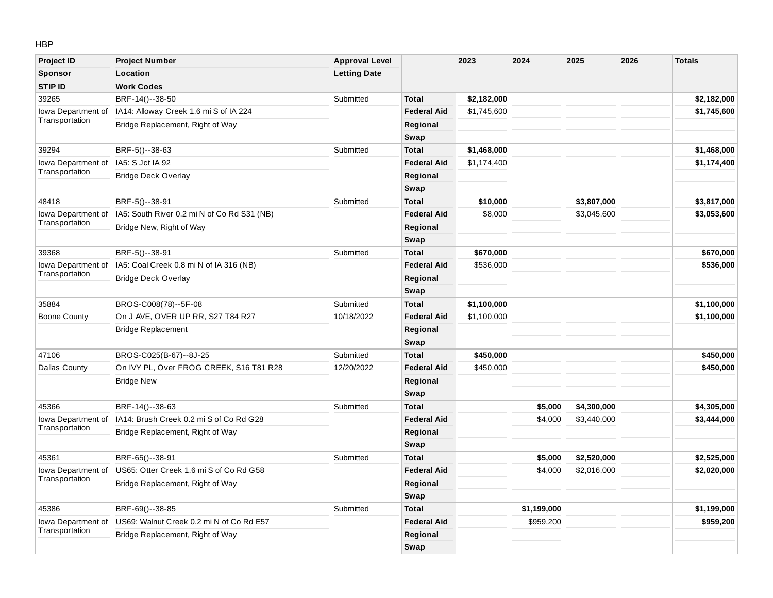#### HBP

| <b>Project ID</b>   | <b>Project Number</b>                       | <b>Approval Level</b> |                    | 2023        | 2024        | 2025        | 2026 | <b>Totals</b> |
|---------------------|---------------------------------------------|-----------------------|--------------------|-------------|-------------|-------------|------|---------------|
| Sponsor             | Location                                    | <b>Letting Date</b>   |                    |             |             |             |      |               |
| STIP ID             | <b>Work Codes</b>                           |                       |                    |             |             |             |      |               |
| 39265               | BRF-14()--38-50                             | Submitted             | <b>Total</b>       | \$2,182,000 |             |             |      | \$2,182,000   |
| Iowa Department of  | IA14: Alloway Creek 1.6 mi S of IA 224      |                       | <b>Federal Aid</b> | \$1,745,600 |             |             |      | \$1,745,600   |
| Transportation      | Bridge Replacement, Right of Way            |                       | Regional           |             |             |             |      |               |
|                     |                                             |                       | Swap               |             |             |             |      |               |
| 39294               | BRF-5()--38-63                              | Submitted             | <b>Total</b>       | \$1,468,000 |             |             |      | \$1,468,000   |
| Iowa Department of  | IA5: S Jct IA 92                            |                       | <b>Federal Aid</b> | \$1,174,400 |             |             |      | \$1,174,400   |
| Transportation      | <b>Bridge Deck Overlay</b>                  |                       | Regional           |             |             |             |      |               |
|                     |                                             |                       | Swap               |             |             |             |      |               |
| 48418               | BRF-5()--38-91                              | Submitted             | <b>Total</b>       | \$10,000    |             | \$3,807,000 |      | \$3,817,000   |
| Iowa Department of  | IA5: South River 0.2 mi N of Co Rd S31 (NB) |                       | <b>Federal Aid</b> | \$8,000     |             | \$3,045,600 |      | \$3,053,600   |
| Transportation      | Bridge New, Right of Way                    |                       | Regional           |             |             |             |      |               |
|                     |                                             |                       | Swap               |             |             |             |      |               |
| 39368               | BRF-5()--38-91                              | Submitted             | <b>Total</b>       | \$670,000   |             |             |      | \$670,000     |
| Iowa Department of  | IA5: Coal Creek 0.8 mi N of IA 316 (NB)     |                       | <b>Federal Aid</b> | \$536,000   |             |             |      | \$536,000     |
| Transportation      | <b>Bridge Deck Overlay</b>                  |                       | Regional           |             |             |             |      |               |
|                     |                                             |                       | <b>Swap</b>        |             |             |             |      |               |
| 35884               | BROS-C008(78)--5F-08                        | Submitted             | <b>Total</b>       | \$1,100,000 |             |             |      | \$1,100,000   |
| <b>Boone County</b> | On J AVE, OVER UP RR, S27 T84 R27           | 10/18/2022            | <b>Federal Aid</b> | \$1,100,000 |             |             |      | \$1,100,000   |
|                     | <b>Bridge Replacement</b>                   |                       | Regional           |             |             |             |      |               |
|                     |                                             |                       | Swap               |             |             |             |      |               |
| 47106               | BROS-C025(B-67)--8J-25                      | Submitted             | <b>Total</b>       | \$450,000   |             |             |      | \$450,000     |
| Dallas County       | On IVY PL, Over FROG CREEK, S16 T81 R28     | 12/20/2022            | <b>Federal Aid</b> | \$450,000   |             |             |      | \$450,000     |
|                     | <b>Bridge New</b>                           |                       | Regional           |             |             |             |      |               |
|                     |                                             |                       | Swap               |             |             |             |      |               |
| 45366               | BRF-14()--38-63                             | Submitted             | <b>Total</b>       |             | \$5,000     | \$4,300,000 |      | \$4,305,000   |
| Iowa Department of  | IA14: Brush Creek 0.2 mi S of Co Rd G28     |                       | <b>Federal Aid</b> |             | \$4,000     | \$3,440,000 |      | \$3,444,000   |
| Transportation      | Bridge Replacement, Right of Way            |                       | Regional           |             |             |             |      |               |
|                     |                                             |                       | Swap               |             |             |             |      |               |
| 45361               | BRF-65()--38-91                             | Submitted             | <b>Total</b>       |             | \$5,000     | \$2,520,000 |      | \$2,525,000   |
| Iowa Department of  | US65: Otter Creek 1.6 mi S of Co Rd G58     |                       | <b>Federal Aid</b> |             | \$4,000     | \$2,016,000 |      | \$2,020,000   |
| Transportation      | Bridge Replacement, Right of Way            |                       | Regional           |             |             |             |      |               |
|                     |                                             |                       | Swap               |             |             |             |      |               |
| 45386               | BRF-69()--38-85                             | Submitted             | <b>Total</b>       |             | \$1,199,000 |             |      | \$1,199,000   |
| Iowa Department of  | US69: Walnut Creek 0.2 mi N of Co Rd E57    |                       | <b>Federal Aid</b> |             | \$959,200   |             |      | \$959,200     |
| Transportation      | Bridge Replacement, Right of Way            |                       | Regional           |             |             |             |      |               |
|                     |                                             |                       | Swap               |             |             |             |      |               |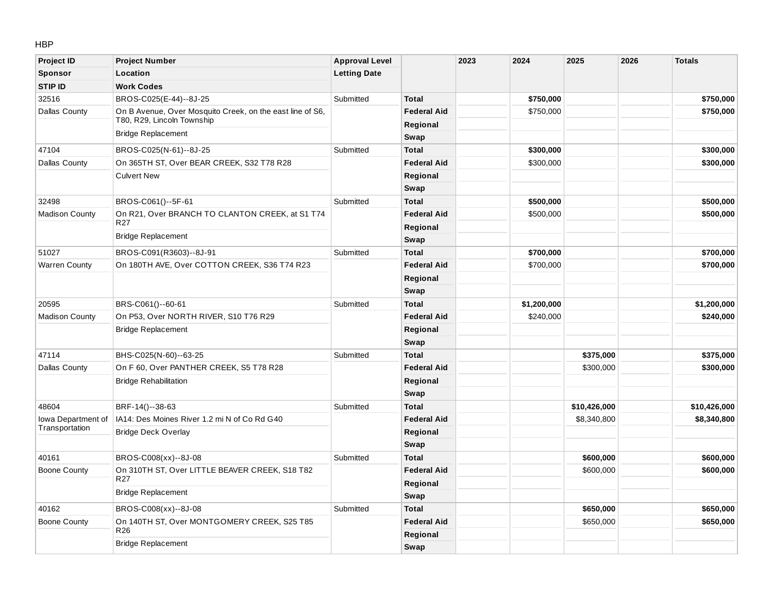#### HBP

| <b>Project ID</b>     | <b>Project Number</b>                                                                   | <b>Approval Level</b> |                    | 2023 | 2024        | 2025         | 2026 | <b>Totals</b> |
|-----------------------|-----------------------------------------------------------------------------------------|-----------------------|--------------------|------|-------------|--------------|------|---------------|
| Sponsor               | Location                                                                                | <b>Letting Date</b>   |                    |      |             |              |      |               |
| <b>STIP ID</b>        | <b>Work Codes</b>                                                                       |                       |                    |      |             |              |      |               |
| 32516                 | BROS-C025(E-44)--8J-25                                                                  | Submitted             | <b>Total</b>       |      | \$750,000   |              |      | \$750,000     |
| Dallas County         | On B Avenue, Over Mosquito Creek, on the east line of S6,<br>T80, R29, Lincoln Township |                       | <b>Federal Aid</b> |      | \$750,000   |              |      | \$750,000     |
|                       | <b>Bridge Replacement</b>                                                               |                       | Regional           |      |             |              |      |               |
|                       |                                                                                         |                       | Swap               |      |             |              |      |               |
| 47104                 | BROS-C025(N-61)--8J-25                                                                  | Submitted             | <b>Total</b>       |      | \$300,000   |              |      | \$300,000     |
| Dallas County         | On 365TH ST, Over BEAR CREEK, S32 T78 R28                                               |                       | <b>Federal Aid</b> |      | \$300,000   |              |      | \$300,000     |
|                       | <b>Culvert New</b>                                                                      |                       | Regional           |      |             |              |      |               |
|                       |                                                                                         |                       | Swap               |      |             |              |      |               |
| 32498                 | BROS-C061()--5F-61                                                                      | Submitted             | <b>Total</b>       |      | \$500,000   |              |      | \$500,000     |
| <b>Madison County</b> | On R21, Over BRANCH TO CLANTON CREEK, at S1 T74                                         |                       | <b>Federal Aid</b> |      | \$500,000   |              |      | \$500,000     |
|                       | R <sub>27</sub>                                                                         |                       | Regional           |      |             |              |      |               |
|                       | <b>Bridge Replacement</b>                                                               |                       | Swap               |      |             |              |      |               |
| 51027                 | BROS-C091(R3603)--8J-91                                                                 | Submitted             | <b>Total</b>       |      | \$700,000   |              |      | \$700,000     |
| <b>Warren County</b>  | On 180TH AVE, Over COTTON CREEK, S36 T74 R23                                            |                       | <b>Federal Aid</b> |      | \$700,000   |              |      | \$700,000     |
|                       |                                                                                         |                       | Regional           |      |             |              |      |               |
|                       |                                                                                         |                       | Swap               |      |             |              |      |               |
| 20595                 | BRS-C061()--60-61                                                                       | Submitted             | <b>Total</b>       |      | \$1,200,000 |              |      | \$1,200,000   |
| <b>Madison County</b> | On P53, Over NORTH RIVER, S10 T76 R29                                                   |                       | <b>Federal Aid</b> |      | \$240,000   |              |      | \$240,000     |
|                       | <b>Bridge Replacement</b>                                                               |                       | Regional           |      |             |              |      |               |
|                       |                                                                                         |                       | Swap               |      |             |              |      |               |
| 47114                 | BHS-C025(N-60)--63-25                                                                   | Submitted             | <b>Total</b>       |      |             | \$375,000    |      | \$375,000     |
| Dallas County         | On F 60, Over PANTHER CREEK, S5 T78 R28                                                 |                       | <b>Federal Aid</b> |      |             | \$300,000    |      | \$300,000     |
|                       | <b>Bridge Rehabilitation</b>                                                            |                       | Regional           |      |             |              |      |               |
|                       |                                                                                         |                       | Swap               |      |             |              |      |               |
| 48604                 | BRF-14()--38-63                                                                         | Submitted             | <b>Total</b>       |      |             | \$10,426,000 |      | \$10,426,000  |
| Iowa Department of    | IA14: Des Moines River 1.2 mi N of Co Rd G40                                            |                       | <b>Federal Aid</b> |      |             | \$8,340,800  |      | \$8,340,800   |
| Transportation        | <b>Bridge Deck Overlay</b>                                                              |                       | Regional           |      |             |              |      |               |
|                       |                                                                                         |                       | Swap               |      |             |              |      |               |
| 40161                 | BROS-C008(xx)--8J-08                                                                    | Submitted             | <b>Total</b>       |      |             | \$600,000    |      | \$600,000     |
| <b>Boone County</b>   | On 310TH ST, Over LITTLE BEAVER CREEK, S18 T82                                          |                       | <b>Federal Aid</b> |      |             | \$600,000    |      | \$600,000     |
|                       | R <sub>27</sub>                                                                         |                       | Regional           |      |             |              |      |               |
|                       | <b>Bridge Replacement</b>                                                               |                       | Swap               |      |             |              |      |               |
| 40162                 | BROS-C008(xx)--8J-08                                                                    | Submitted             | <b>Total</b>       |      |             | \$650,000    |      | \$650,000     |
| <b>Boone County</b>   | On 140TH ST, Over MONTGOMERY CREEK, S25 T85                                             |                       | <b>Federal Aid</b> |      |             | \$650,000    |      | \$650,000     |
|                       | R <sub>26</sub>                                                                         |                       | Regional           |      |             |              |      |               |
|                       | <b>Bridge Replacement</b>                                                               |                       | Swap               |      |             |              |      |               |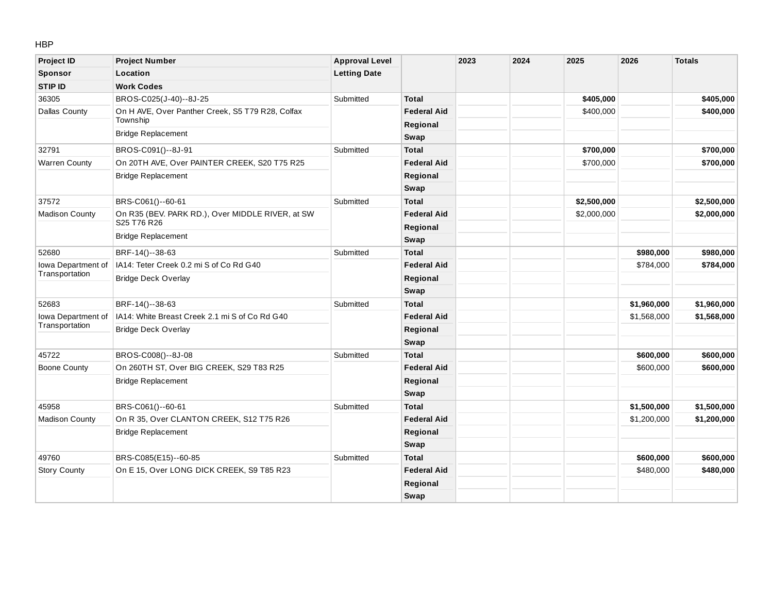HBP

| <b>Project ID</b>     | <b>Project Number</b>                            | <b>Approval Level</b> |                    | 2023 | 2024 | 2025        | 2026        | <b>Totals</b> |
|-----------------------|--------------------------------------------------|-----------------------|--------------------|------|------|-------------|-------------|---------------|
| Sponsor               | Location                                         | <b>Letting Date</b>   |                    |      |      |             |             |               |
| <b>STIP ID</b>        | <b>Work Codes</b>                                |                       |                    |      |      |             |             |               |
| 36305                 | BROS-C025(J-40)--8J-25                           | Submitted             | <b>Total</b>       |      |      | \$405,000   |             | \$405,000     |
| <b>Dallas County</b>  | On H AVE, Over Panther Creek, S5 T79 R28, Colfax |                       | <b>Federal Aid</b> |      |      | \$400,000   |             | \$400,000     |
|                       | Township                                         |                       | Regional           |      |      |             |             |               |
|                       | <b>Bridge Replacement</b>                        |                       | Swap               |      |      |             |             |               |
| 32791                 | BROS-C091()--8J-91                               | Submitted             | <b>Total</b>       |      |      | \$700,000   |             | \$700,000     |
| <b>Warren County</b>  | On 20TH AVE, Over PAINTER CREEK, S20 T75 R25     |                       | <b>Federal Aid</b> |      |      | \$700,000   |             | \$700,000     |
|                       | <b>Bridge Replacement</b>                        |                       | Regional           |      |      |             |             |               |
|                       |                                                  |                       | Swap               |      |      |             |             |               |
| 37572                 | BRS-C061()--60-61                                | Submitted             | <b>Total</b>       |      |      | \$2,500,000 |             | \$2,500,000   |
| <b>Madison County</b> | On R35 (BEV. PARK RD.), Over MIDDLE RIVER, at SW |                       | <b>Federal Aid</b> |      |      | \$2,000,000 |             | \$2,000,000   |
|                       | S25 T76 R26                                      |                       | Regional           |      |      |             |             |               |
|                       | <b>Bridge Replacement</b>                        |                       | Swap               |      |      |             |             |               |
| 52680                 | BRF-14()--38-63                                  | Submitted             | <b>Total</b>       |      |      |             | \$980,000   | \$980,000     |
| Iowa Department of    | IA14: Teter Creek 0.2 mi S of Co Rd G40          |                       | <b>Federal Aid</b> |      |      |             | \$784,000   | \$784,000     |
| Transportation        | <b>Bridge Deck Overlay</b>                       |                       | Regional           |      |      |             |             |               |
|                       |                                                  |                       | Swap               |      |      |             |             |               |
| 52683                 | BRF-14()--38-63                                  | Submitted             | <b>Total</b>       |      |      |             | \$1,960,000 | \$1,960,000   |
| Iowa Department of    | IA14: White Breast Creek 2.1 mi S of Co Rd G40   |                       | <b>Federal Aid</b> |      |      |             | \$1,568,000 | \$1,568,000   |
| Transportation        | <b>Bridge Deck Overlay</b>                       |                       | Regional           |      |      |             |             |               |
|                       |                                                  |                       | Swap               |      |      |             |             |               |
| 45722                 | BROS-C008()--8J-08                               | Submitted             | <b>Total</b>       |      |      |             | \$600,000   | \$600,000     |
| Boone County          | On 260TH ST, Over BIG CREEK, S29 T83 R25         |                       | <b>Federal Aid</b> |      |      |             | \$600,000   | \$600,000     |
|                       | <b>Bridge Replacement</b>                        |                       | Regional           |      |      |             |             |               |
|                       |                                                  |                       | Swap               |      |      |             |             |               |
| 45958                 | BRS-C061()--60-61                                | Submitted             | <b>Total</b>       |      |      |             | \$1,500,000 | \$1,500,000   |
| <b>Madison County</b> | On R 35, Over CLANTON CREEK, S12 T75 R26         |                       | <b>Federal Aid</b> |      |      |             | \$1,200,000 | \$1,200,000   |
|                       | <b>Bridge Replacement</b>                        |                       | Regional           |      |      |             |             |               |
|                       |                                                  |                       | Swap               |      |      |             |             |               |
| 49760                 | BRS-C085(E15)--60-85                             | Submitted             | <b>Total</b>       |      |      |             | \$600,000   | \$600,000     |
| <b>Story County</b>   | On E 15, Over LONG DICK CREEK, S9 T85 R23        |                       | <b>Federal Aid</b> |      |      |             | \$480,000   | \$480,000     |
|                       |                                                  |                       | Regional           |      |      |             |             |               |
|                       |                                                  |                       | Swap               |      |      |             |             |               |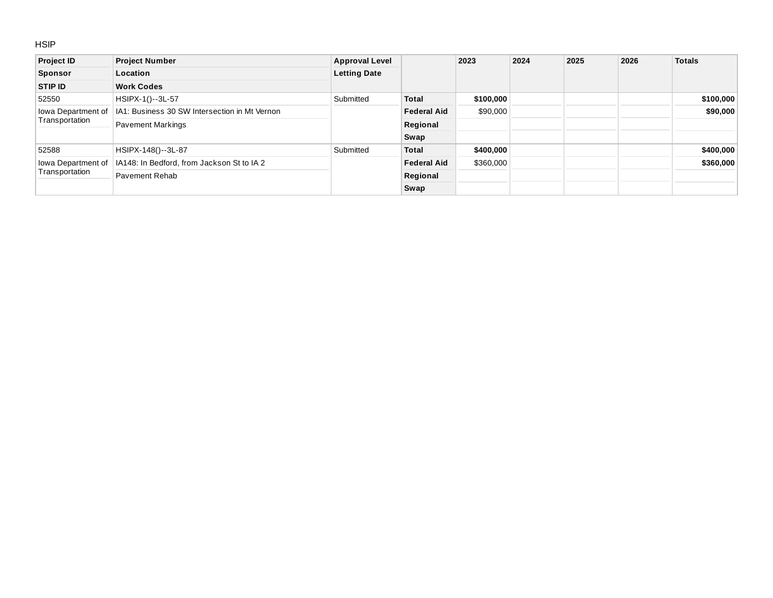#### **HSIP**

| <b>Project ID</b>  | <b>Project Number</b>                         | <b>Approval Level</b> |                    | 2023      | 2024 | 2025 | 2026 | <b>Totals</b> |
|--------------------|-----------------------------------------------|-----------------------|--------------------|-----------|------|------|------|---------------|
| <b>Sponsor</b>     | Location                                      | <b>Letting Date</b>   |                    |           |      |      |      |               |
| <b>STIP ID</b>     | <b>Work Codes</b>                             |                       |                    |           |      |      |      |               |
| 52550              | HSIPX-1()--3L-57                              | Submitted             | <b>Total</b>       | \$100,000 |      |      |      | \$100,000     |
| lowa Department of | IA1: Business 30 SW Intersection in Mt Vernon |                       | <b>Federal Aid</b> | \$90,000  |      |      |      | \$90,000      |
| Transportation     | <b>Pavement Markings</b>                      |                       | Regional           |           |      |      |      |               |
|                    |                                               |                       | Swap               |           |      |      |      |               |
| 52588              | HSIPX-148()--3L-87                            | Submitted             | <b>Total</b>       | \$400,000 |      |      |      | \$400,000     |
| lowa Department of | IA148: In Bedford, from Jackson St to IA 2    |                       | <b>Federal Aid</b> | \$360,000 |      |      |      | \$360,000     |
| Transportation     | Pavement Rehab                                |                       | Regional           |           |      |      |      |               |
|                    |                                               |                       | Swap               |           |      |      |      |               |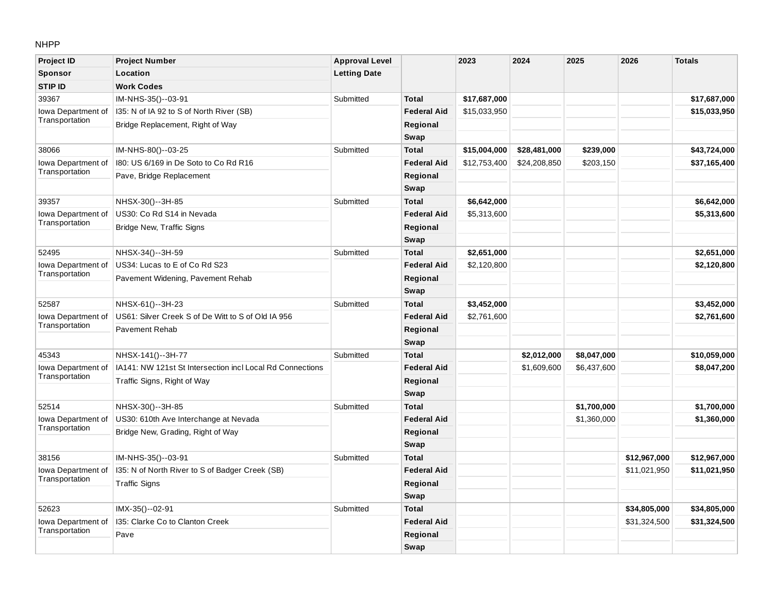#### NHPP

| <b>Project ID</b>  | <b>Project Number</b>                                     | <b>Approval Level</b> |                    | 2023         | 2024         | 2025        | 2026         | <b>Totals</b> |
|--------------------|-----------------------------------------------------------|-----------------------|--------------------|--------------|--------------|-------------|--------------|---------------|
| Sponsor            | Location                                                  | <b>Letting Date</b>   |                    |              |              |             |              |               |
| <b>STIP ID</b>     | <b>Work Codes</b>                                         |                       |                    |              |              |             |              |               |
| 39367              | IM-NHS-35()--03-91                                        | Submitted             | <b>Total</b>       | \$17,687,000 |              |             |              | \$17,687,000  |
| Iowa Department of | I35: N of IA 92 to S of North River (SB)                  |                       | <b>Federal Aid</b> | \$15,033,950 |              |             |              | \$15,033,950  |
| Transportation     | Bridge Replacement, Right of Way                          |                       | Regional           |              |              |             |              |               |
|                    |                                                           |                       | Swap               |              |              |             |              |               |
| 38066              | IM-NHS-80()--03-25                                        | Submitted             | <b>Total</b>       | \$15,004,000 | \$28,481,000 | \$239,000   |              | \$43,724,000  |
| Iowa Department of | 180: US 6/169 in De Soto to Co Rd R16                     |                       | <b>Federal Aid</b> | \$12,753,400 | \$24,208,850 | \$203,150   |              | \$37,165,400  |
| Transportation     | Pave, Bridge Replacement                                  |                       | Regional           |              |              |             |              |               |
|                    |                                                           |                       | Swap               |              |              |             |              |               |
| 39357              | NHSX-30()--3H-85                                          | Submitted             | <b>Total</b>       | \$6,642,000  |              |             |              | \$6,642,000   |
| lowa Department of | US30: Co Rd S14 in Nevada                                 |                       | <b>Federal Aid</b> | \$5,313,600  |              |             |              | \$5,313,600   |
| Transportation     | Bridge New, Traffic Signs                                 |                       | Regional           |              |              |             |              |               |
|                    |                                                           |                       | Swap               |              |              |             |              |               |
| 52495              | NHSX-34()--3H-59                                          | Submitted             | <b>Total</b>       | \$2,651,000  |              |             |              | \$2,651,000   |
| Iowa Department of | US34: Lucas to E of Co Rd S23                             |                       | <b>Federal Aid</b> | \$2,120,800  |              |             |              | \$2,120,800   |
| Transportation     | Pavement Widening, Pavement Rehab                         |                       | Regional           |              |              |             |              |               |
|                    |                                                           |                       | Swap               |              |              |             |              |               |
| 52587              | NHSX-61()--3H-23                                          | Submitted             | <b>Total</b>       | \$3,452,000  |              |             |              | \$3,452,000   |
| Iowa Department of | US61: Silver Creek S of De Witt to S of Old IA 956        |                       | <b>Federal Aid</b> | \$2,761,600  |              |             |              | \$2,761,600   |
| Transportation     | <b>Pavement Rehab</b>                                     |                       | Regional           |              |              |             |              |               |
|                    |                                                           |                       | Swap               |              |              |             |              |               |
| 45343              | NHSX-141()--3H-77                                         | Submitted             | <b>Total</b>       |              | \$2,012,000  | \$8,047,000 |              | \$10,059,000  |
| Iowa Department of | IA141: NW 121st St Intersection incl Local Rd Connections |                       | <b>Federal Aid</b> |              | \$1,609,600  | \$6,437,600 |              | \$8,047,200   |
| Transportation     | Traffic Signs, Right of Way                               |                       | Regional           |              |              |             |              |               |
|                    |                                                           |                       | Swap               |              |              |             |              |               |
| 52514              | NHSX-30()--3H-85                                          | Submitted             | <b>Total</b>       |              |              | \$1,700,000 |              | \$1,700,000   |
| Iowa Department of | US30: 610th Ave Interchange at Nevada                     |                       | <b>Federal Aid</b> |              |              | \$1,360,000 |              | \$1,360,000   |
| Transportation     | Bridge New, Grading, Right of Way                         |                       | Regional           |              |              |             |              |               |
|                    |                                                           |                       | Swap               |              |              |             |              |               |
| 38156              | IM-NHS-35()--03-91                                        | Submitted             | <b>Total</b>       |              |              |             | \$12,967,000 | \$12,967,000  |
| Iowa Department of | 135: N of North River to S of Badger Creek (SB)           |                       | <b>Federal Aid</b> |              |              |             | \$11,021,950 | \$11,021,950  |
| Transportation     | <b>Traffic Signs</b>                                      |                       | Regional           |              |              |             |              |               |
|                    |                                                           |                       | Swap               |              |              |             |              |               |
| 52623              | IMX-35()--02-91                                           | Submitted             | <b>Total</b>       |              |              |             | \$34,805,000 | \$34,805,000  |
| lowa Department of | 135: Clarke Co to Clanton Creek                           |                       | <b>Federal Aid</b> |              |              |             | \$31,324,500 | \$31,324,500  |
| Transportation     | Pave                                                      |                       | Regional           |              |              |             |              |               |
|                    |                                                           |                       | Swap               |              |              |             |              |               |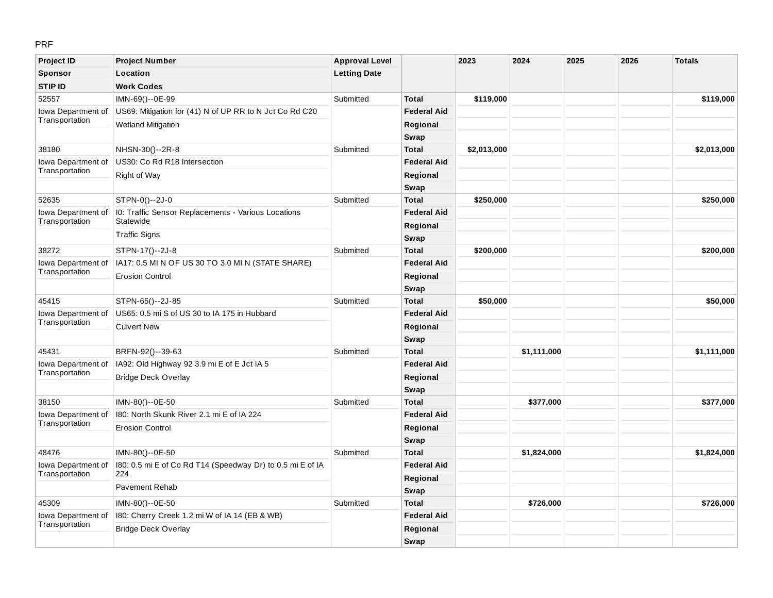## PRF

| <b>Project ID</b>  | <b>Project Number</b>                                      | <b>Approval Level</b> |                    | 2023        | 2024        | 2025 | 2026 | <b>Totals</b> |
|--------------------|------------------------------------------------------------|-----------------------|--------------------|-------------|-------------|------|------|---------------|
| Sponsor            | Location                                                   | <b>Letting Date</b>   |                    |             |             |      |      |               |
| <b>STIP ID</b>     | <b>Work Codes</b>                                          |                       |                    |             |             |      |      |               |
| 52557              | IMN-69()--0E-99                                            | Submitted             | <b>Total</b>       | \$119,000   |             |      |      | \$119,000     |
| Iowa Department of | US69: Mitigation for (41) N of UP RR to N Jct Co Rd C20    |                       | <b>Federal Aid</b> |             |             |      |      |               |
| Transportation     | <b>Wetland Mitigation</b>                                  |                       | Regional           |             |             |      |      |               |
|                    |                                                            |                       | Swap               |             |             |      |      |               |
| 38180              | NHSN-30()--2R-8                                            | Submitted             | <b>Total</b>       | \$2,013,000 |             |      |      | \$2,013,000   |
| Iowa Department of | US30: Co Rd R18 Intersection                               |                       | <b>Federal Aid</b> |             |             |      |      |               |
| Transportation     | Right of Way                                               |                       | Regional           |             |             |      |      |               |
|                    |                                                            |                       | Swap               |             |             |      |      |               |
| 52635              | STPN-0()--2J-0                                             | Submitted             | <b>Total</b>       | \$250,000   |             |      |      | \$250,000     |
| Iowa Department of | 10: Traffic Sensor Replacements - Various Locations        |                       | <b>Federal Aid</b> |             |             |      |      |               |
| Transportation     | Statewide                                                  |                       | Regional           |             |             |      |      |               |
|                    | <b>Traffic Signs</b>                                       |                       | Swap               |             |             |      |      |               |
| 38272              | STPN-17()--2J-8                                            | Submitted             | <b>Total</b>       | \$200,000   |             |      |      | \$200,000     |
| Iowa Department of | IA17: 0.5 MI N OF US 30 TO 3.0 MI N (STATE SHARE)          |                       | <b>Federal Aid</b> |             |             |      |      |               |
| Transportation     | <b>Erosion Control</b>                                     |                       | Regional           |             |             |      |      |               |
|                    |                                                            |                       | Swap               |             |             |      |      |               |
| 45415              | STPN-65()--2J-85                                           | Submitted             | <b>Total</b>       | \$50,000    |             |      |      | \$50,000      |
| Iowa Department of | US65: 0.5 mi S of US 30 to IA 175 in Hubbard               |                       | <b>Federal Aid</b> |             |             |      |      |               |
| Transportation     | <b>Culvert New</b>                                         |                       | Regional           |             |             |      |      |               |
|                    |                                                            |                       | Swap               |             |             |      |      |               |
| 45431              | BRFN-92()--39-63                                           | Submitted             | <b>Total</b>       |             | \$1,111,000 |      |      | \$1,111,000   |
| Iowa Department of | IA92: Old Highway 92 3.9 mi E of E Jct IA 5                |                       | <b>Federal Aid</b> |             |             |      |      |               |
| Transportation     | <b>Bridge Deck Overlay</b>                                 |                       | Regional           |             |             |      |      |               |
|                    |                                                            |                       | Swap               |             |             |      |      |               |
| 38150              | IMN-80()--0E-50                                            | Submitted             | <b>Total</b>       |             | \$377,000   |      |      | \$377,000     |
| Iowa Department of | 180: North Skunk River 2.1 mi E of IA 224                  |                       | <b>Federal Aid</b> |             |             |      |      |               |
| Transportation     | <b>Erosion Control</b>                                     |                       | Regional           |             |             |      |      |               |
|                    |                                                            |                       | Swap               |             |             |      |      |               |
| 48476              | IMN-80()--0E-50                                            | Submitted             | <b>Total</b>       |             | \$1,824,000 |      |      | \$1,824,000   |
| Iowa Department of | 180: 0.5 mi E of Co Rd T14 (Speedway Dr) to 0.5 mi E of IA |                       | <b>Federal Aid</b> |             |             |      |      |               |
| Transportation     | 224                                                        |                       | Regional           |             |             |      |      |               |
|                    | <b>Pavement Rehab</b>                                      |                       | Swap               |             |             |      |      |               |
| 45309              | IMN-80()--0E-50                                            | Submitted             | <b>Total</b>       |             | \$726,000   |      |      | \$726,000     |
| Iowa Department of | 180: Cherry Creek 1.2 mi W of IA 14 (EB & WB)              |                       | <b>Federal Aid</b> |             |             |      |      |               |
| Transportation     | Bridge Deck Overlay                                        |                       | Regional           |             |             |      |      |               |
|                    |                                                            |                       | Swap               |             |             |      |      |               |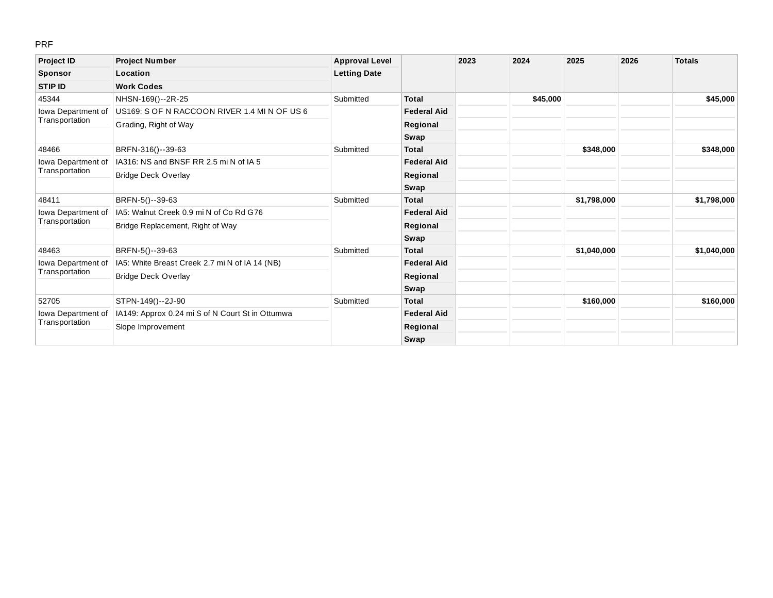#### PRF

| <b>Project ID</b>                    | <b>Project Number</b>                            | <b>Approval Level</b> |                    | 2023 | 2024     | 2025        | 2026 | <b>Totals</b> |
|--------------------------------------|--------------------------------------------------|-----------------------|--------------------|------|----------|-------------|------|---------------|
| <b>Sponsor</b>                       | Location                                         | <b>Letting Date</b>   |                    |      |          |             |      |               |
| <b>STIP ID</b>                       | <b>Work Codes</b>                                |                       |                    |      |          |             |      |               |
| 45344                                | NHSN-169()--2R-25                                | Submitted             | <b>Total</b>       |      | \$45,000 |             |      | \$45,000      |
| Iowa Department of                   | US169: S OF N RACCOON RIVER 1.4 MI N OF US 6     |                       | <b>Federal Aid</b> |      |          |             |      |               |
| Transportation                       | Grading, Right of Way                            |                       | Regional           |      |          |             |      |               |
|                                      |                                                  |                       | Swap               |      |          |             |      |               |
| 48466                                | BRFN-316()--39-63                                | Submitted             | <b>Total</b>       |      |          | \$348,000   |      | \$348,000     |
| Iowa Department of                   | IA316: NS and BNSF RR 2.5 mi N of IA 5           |                       | <b>Federal Aid</b> |      |          |             |      |               |
| Transportation                       | <b>Bridge Deck Overlay</b>                       |                       | Regional           |      |          |             |      |               |
|                                      |                                                  |                       | Swap               |      |          |             |      |               |
| 48411                                | BRFN-5()--39-63                                  | Submitted             | <b>Total</b>       |      |          | \$1,798,000 |      | \$1,798,000   |
| Iowa Department of                   | IA5: Walnut Creek 0.9 mi N of Co Rd G76          |                       | <b>Federal Aid</b> |      |          |             |      |               |
| Transportation                       | Bridge Replacement, Right of Way                 |                       | Regional           |      |          |             |      |               |
|                                      |                                                  |                       | Swap               |      |          |             |      |               |
| 48463                                | BRFN-5()--39-63                                  | Submitted             | <b>Total</b>       |      |          | \$1,040,000 |      | \$1,040,000   |
| Iowa Department of                   | IA5: White Breast Creek 2.7 mi N of IA 14 (NB)   |                       | <b>Federal Aid</b> |      |          |             |      |               |
| Transportation                       | <b>Bridge Deck Overlay</b>                       |                       | Regional           |      |          |             |      |               |
|                                      |                                                  |                       | Swap               |      |          |             |      |               |
| 52705                                | STPN-149()--2J-90                                | Submitted             | <b>Total</b>       |      |          | \$160,000   |      | \$160,000     |
| Iowa Department of<br>Transportation | IA149: Approx 0.24 mi S of N Court St in Ottumwa |                       | <b>Federal Aid</b> |      |          |             |      |               |
|                                      | Slope Improvement                                |                       | Regional           |      |          |             |      |               |
|                                      |                                                  |                       | Swap               |      |          |             |      |               |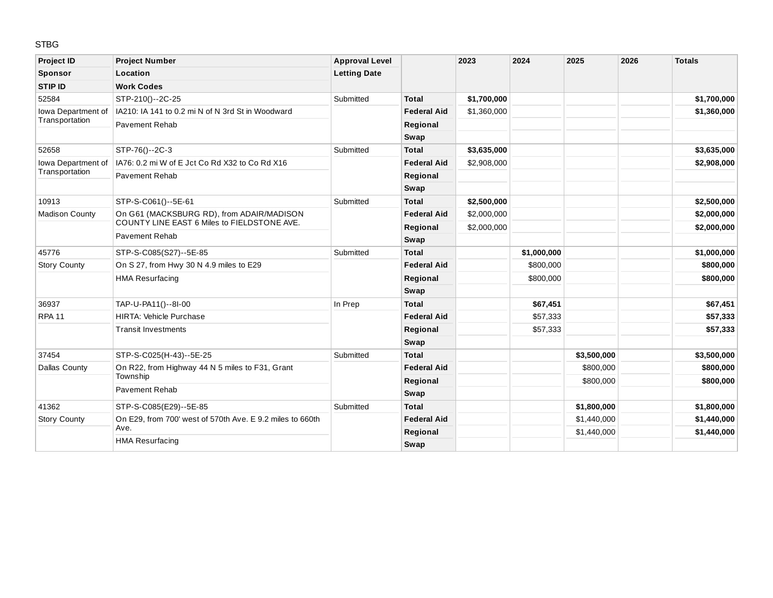### STBG

| <b>Project ID</b>     | <b>Project Number</b>                                     | <b>Approval Level</b> |                    | 2023        | 2024        | 2025        | 2026 | <b>Totals</b> |
|-----------------------|-----------------------------------------------------------|-----------------------|--------------------|-------------|-------------|-------------|------|---------------|
| Sponsor               | Location                                                  | <b>Letting Date</b>   |                    |             |             |             |      |               |
| <b>STIP ID</b>        | <b>Work Codes</b>                                         |                       |                    |             |             |             |      |               |
| 52584                 | STP-210()--2C-25                                          | Submitted             | <b>Total</b>       | \$1,700,000 |             |             |      | \$1,700,000   |
| Iowa Department of    | IA210: IA 141 to 0.2 mi N of N 3rd St in Woodward         |                       | <b>Federal Aid</b> | \$1,360,000 |             |             |      | \$1,360,000   |
| Transportation        | <b>Pavement Rehab</b>                                     |                       | Regional           |             |             |             |      |               |
|                       |                                                           |                       | Swap               |             |             |             |      |               |
| 52658                 | STP-76()--2C-3                                            | Submitted             | <b>Total</b>       | \$3,635,000 |             |             |      | \$3,635,000   |
| Iowa Department of    | IA76: 0.2 mi W of E Jct Co Rd X32 to Co Rd X16            |                       | <b>Federal Aid</b> | \$2,908,000 |             |             |      | \$2,908,000   |
| Transportation        | <b>Pavement Rehab</b>                                     |                       | Regional           |             |             |             |      |               |
|                       |                                                           |                       | Swap               |             |             |             |      |               |
| 10913                 | STP-S-C061()--5E-61                                       | Submitted             | <b>Total</b>       | \$2,500,000 |             |             |      | \$2,500,000   |
| <b>Madison County</b> | On G61 (MACKSBURG RD), from ADAIR/MADISON                 |                       | <b>Federal Aid</b> | \$2,000,000 |             |             |      | \$2,000,000   |
|                       | COUNTY LINE EAST 6 Miles to FIELDSTONE AVE.               |                       | Regional           | \$2,000,000 |             |             |      | \$2,000,000   |
|                       | <b>Pavement Rehab</b>                                     |                       | Swap               |             |             |             |      |               |
| 45776                 | STP-S-C085(S27)--5E-85                                    | Submitted             | <b>Total</b>       |             | \$1,000,000 |             |      | \$1,000,000   |
| <b>Story County</b>   | On S 27, from Hwy 30 N 4.9 miles to E29                   |                       | <b>Federal Aid</b> |             | \$800,000   |             |      | \$800,000     |
|                       | <b>HMA Resurfacing</b>                                    |                       | Regional           |             | \$800,000   |             |      | \$800,000     |
|                       |                                                           |                       | Swap               |             |             |             |      |               |
| 36937                 | TAP-U-PA11()--8I-00                                       | In Prep               | <b>Total</b>       |             | \$67,451    |             |      | \$67,451      |
| <b>RPA 11</b>         | <b>HIRTA: Vehicle Purchase</b>                            |                       | <b>Federal Aid</b> |             | \$57,333    |             |      | \$57,333      |
|                       | <b>Transit Investments</b>                                |                       | Regional           |             | \$57,333    |             |      | \$57,333      |
|                       |                                                           |                       | Swap               |             |             |             |      |               |
| 37454                 | STP-S-C025(H-43)--5E-25                                   | Submitted             | <b>Total</b>       |             |             | \$3,500,000 |      | \$3,500,000   |
| <b>Dallas County</b>  | On R22, from Highway 44 N 5 miles to F31, Grant           |                       | <b>Federal Aid</b> |             |             | \$800,000   |      | \$800,000     |
|                       | Township                                                  |                       | Regional           |             |             | \$800,000   |      | \$800,000     |
|                       | <b>Pavement Rehab</b>                                     |                       | Swap               |             |             |             |      |               |
| 41362                 | STP-S-C085(E29)--5E-85                                    | Submitted             | <b>Total</b>       |             |             | \$1,800,000 |      | \$1,800,000   |
| <b>Story County</b>   | On E29, from 700' west of 570th Ave. E 9.2 miles to 660th |                       | <b>Federal Aid</b> |             |             | \$1,440,000 |      | \$1,440,000   |
|                       | Ave.                                                      |                       | Regional           |             |             | \$1,440,000 |      | \$1,440,000   |
|                       | <b>HMA Resurfacing</b>                                    |                       | Swap               |             |             |             |      |               |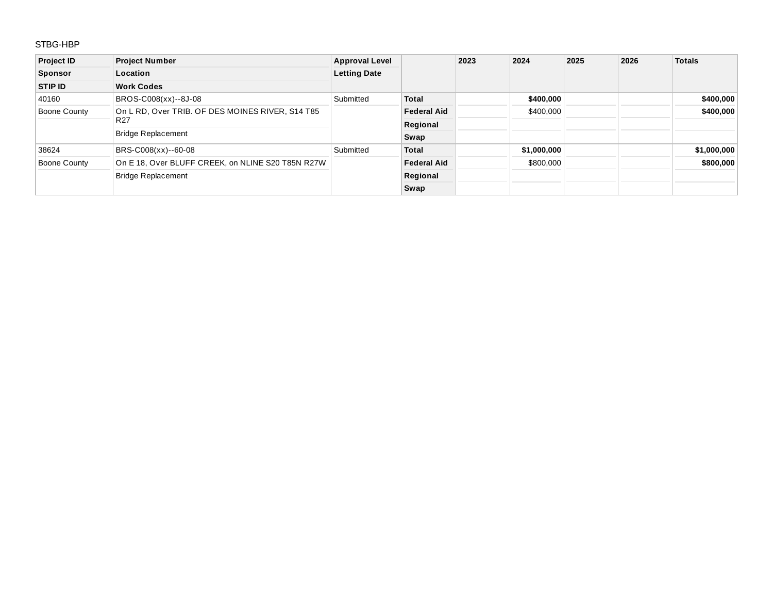## STBG-HBP

| <b>Project ID</b> | <b>Project Number</b>                             | <b>Approval Level</b> |                    | 2023 | 2024        | 2025 | 2026 | <b>Totals</b> |
|-------------------|---------------------------------------------------|-----------------------|--------------------|------|-------------|------|------|---------------|
| <b>Sponsor</b>    | Location                                          | <b>Letting Date</b>   |                    |      |             |      |      |               |
| STIP ID           | <b>Work Codes</b>                                 |                       |                    |      |             |      |      |               |
| 40160             | BROS-C008(xx)--8J-08                              | Submitted             | <b>Total</b>       |      | \$400,000   |      |      | \$400,000     |
| Boone County      | On L RD, Over TRIB. OF DES MOINES RIVER, S14 T85  |                       | <b>Federal Aid</b> |      | \$400,000   |      |      | \$400,000     |
|                   | R <sub>27</sub>                                   |                       | Regional           |      |             |      |      |               |
|                   | <b>Bridge Replacement</b>                         |                       | Swap               |      |             |      |      |               |
| 38624             | BRS-C008(xx)--60-08                               | Submitted             | <b>Total</b>       |      | \$1,000,000 |      |      | \$1,000,000   |
| Boone County      | On E 18, Over BLUFF CREEK, on NLINE S20 T85N R27W |                       | <b>Federal Aid</b> |      | \$800,000   |      |      | \$800,000     |
|                   | <b>Bridge Replacement</b>                         |                       | Regional           |      |             |      |      |               |
|                   |                                                   |                       | Swap               |      |             |      |      |               |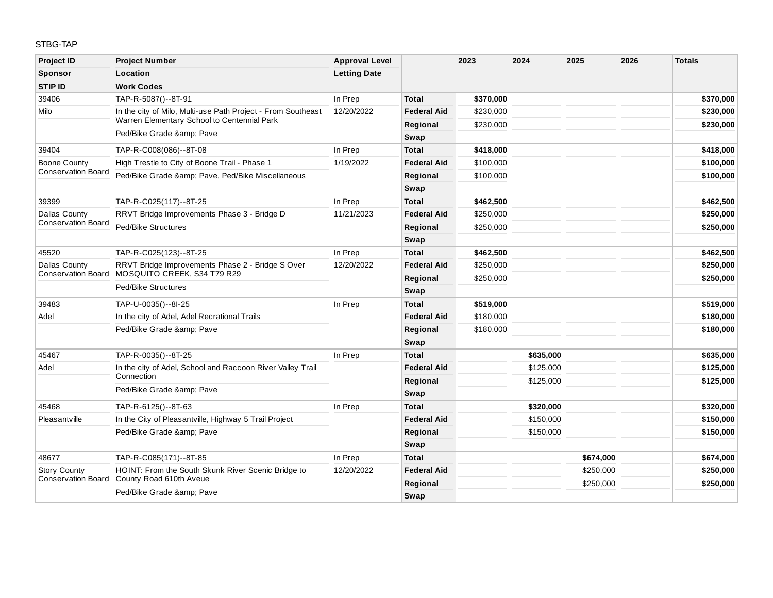### STBG-TAP

| <b>Project ID</b>                                 | <b>Project Number</b>                                                           | <b>Approval Level</b> |                    | 2023      | 2024      | 2025      | 2026 | <b>Totals</b> |
|---------------------------------------------------|---------------------------------------------------------------------------------|-----------------------|--------------------|-----------|-----------|-----------|------|---------------|
| <b>Sponsor</b>                                    | Location                                                                        | <b>Letting Date</b>   |                    |           |           |           |      |               |
| <b>STIP ID</b>                                    | <b>Work Codes</b>                                                               |                       |                    |           |           |           |      |               |
| 39406                                             | TAP-R-5087()--8T-91                                                             | In Prep               | <b>Total</b>       | \$370,000 |           |           |      | \$370,000     |
| Milo                                              | In the city of Milo, Multi-use Path Project - From Southeast                    | 12/20/2022            | <b>Federal Aid</b> | \$230,000 |           |           |      | \$230,000     |
|                                                   | Warren Elementary School to Centennial Park                                     |                       | Regional           | \$230,000 |           |           |      | \$230,000     |
|                                                   | Ped/Bike Grade & Pave                                                           |                       | Swap               |           |           |           |      |               |
| 39404                                             | TAP-R-C008(086)--8T-08                                                          | In Prep               | <b>Total</b>       | \$418,000 |           |           |      | \$418,000     |
| <b>Boone County</b>                               | High Trestle to City of Boone Trail - Phase 1                                   | 1/19/2022             | <b>Federal Aid</b> | \$100,000 |           |           |      | \$100,000     |
| <b>Conservation Board</b>                         | Ped/Bike Grade & Pave, Ped/Bike Miscellaneous                                   |                       | Regional           | \$100,000 |           |           |      | \$100,000     |
|                                                   |                                                                                 |                       | Swap               |           |           |           |      |               |
| 39399                                             | TAP-R-C025(117)--8T-25                                                          | In Prep               | <b>Total</b>       | \$462,500 |           |           |      | \$462,500     |
| Dallas County                                     | RRVT Bridge Improvements Phase 3 - Bridge D                                     | 11/21/2023            | <b>Federal Aid</b> | \$250,000 |           |           |      | \$250,000     |
| <b>Conservation Board</b>                         | Ped/Bike Structures                                                             |                       | Regional           | \$250,000 |           |           |      | \$250,000     |
|                                                   |                                                                                 |                       | Swap               |           |           |           |      |               |
| 45520                                             | TAP-R-C025(123)--8T-25                                                          | In Prep               | <b>Total</b>       | \$462,500 |           |           |      | \$462,500     |
| <b>Dallas County</b><br><b>Conservation Board</b> | RRVT Bridge Improvements Phase 2 - Bridge S Over<br>MOSOUITO CREEK, S34 T79 R29 | 12/20/2022            | <b>Federal Aid</b> | \$250,000 |           |           |      | \$250,000     |
|                                                   | Ped/Bike Structures                                                             |                       | Regional           | \$250,000 |           |           |      | \$250,000     |
|                                                   |                                                                                 |                       | Swap               |           |           |           |      |               |
| 39483                                             | TAP-U-0035()--8I-25                                                             | In Prep               | <b>Total</b>       | \$519,000 |           |           |      | \$519,000     |
| Adel                                              | In the city of Adel, Adel Recrational Trails                                    |                       | <b>Federal Aid</b> | \$180,000 |           |           |      | \$180,000     |
|                                                   | Ped/Bike Grade & Pave                                                           |                       | Regional           | \$180,000 |           |           |      | \$180,000     |
|                                                   |                                                                                 |                       | Swap               |           |           |           |      |               |
| 45467                                             | TAP-R-0035()--8T-25                                                             | In Prep               | <b>Total</b>       |           | \$635,000 |           |      | \$635,000     |
| Adel                                              | In the city of Adel, School and Raccoon River Valley Trail                      |                       | <b>Federal Aid</b> |           | \$125,000 |           |      | \$125,000     |
|                                                   | Connection                                                                      |                       | Regional           |           | \$125,000 |           |      | \$125,000     |
|                                                   | Ped/Bike Grade & Pave                                                           |                       | Swap               |           |           |           |      |               |
| 45468                                             | TAP-R-6125()--8T-63                                                             | In Prep               | <b>Total</b>       |           | \$320,000 |           |      | \$320,000     |
| Pleasantville                                     | In the City of Pleasantville, Highway 5 Trail Project                           |                       | <b>Federal Aid</b> |           | \$150,000 |           |      | \$150,000     |
|                                                   | Ped/Bike Grade & Pave                                                           |                       | Regional           |           | \$150,000 |           |      | \$150,000     |
|                                                   |                                                                                 |                       | Swap               |           |           |           |      |               |
| 48677                                             | TAP-R-C085(171)--8T-85                                                          | In Prep               | <b>Total</b>       |           |           | \$674,000 |      | \$674,000     |
| <b>Story County</b>                               | HOINT: From the South Skunk River Scenic Bridge to                              | 12/20/2022            | <b>Federal Aid</b> |           |           | \$250,000 |      | \$250,000     |
| <b>Conservation Board</b>                         | County Road 610th Aveue                                                         |                       | Regional           |           |           | \$250,000 |      | \$250,000     |
|                                                   | Ped/Bike Grade & Pave                                                           |                       | Swap               |           |           |           |      |               |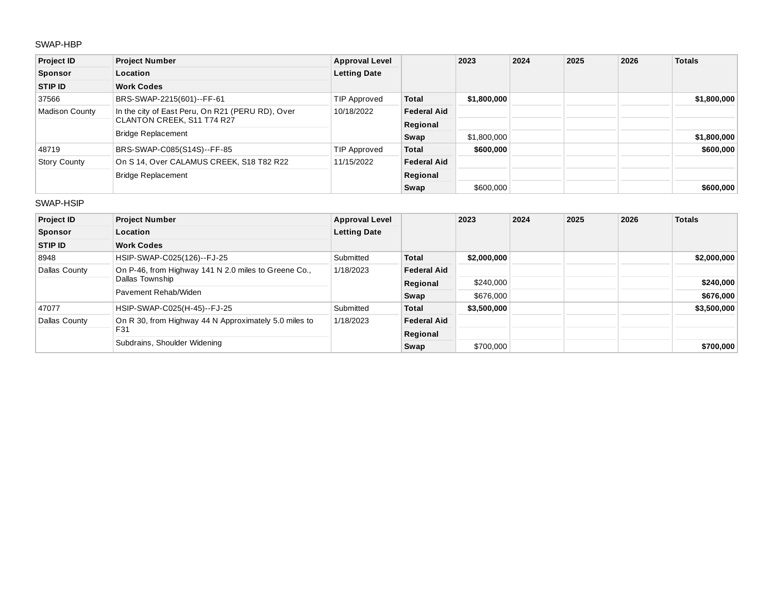#### SWAP-HBP

| <b>Project ID</b>     | <b>Project Number</b>                            | <b>Approval Level</b> |                    | 2023        | 2024 | 2025 | 2026 | <b>Totals</b> |
|-----------------------|--------------------------------------------------|-----------------------|--------------------|-------------|------|------|------|---------------|
| <b>Sponsor</b>        | Location                                         | <b>Letting Date</b>   |                    |             |      |      |      |               |
| STIP ID               | <b>Work Codes</b>                                |                       |                    |             |      |      |      |               |
| 37566                 | BRS-SWAP-2215(601)--FF-61                        | TIP Approved          | <b>Total</b>       | \$1,800,000 |      |      |      | \$1,800,000   |
| <b>Madison County</b> | In the city of East Peru, On R21 (PERU RD), Over | 10/18/2022            | <b>Federal Aid</b> |             |      |      |      |               |
|                       | CLANTON CREEK, S11 T74 R27                       |                       | Regional           |             |      |      |      |               |
|                       | <b>Bridge Replacement</b>                        |                       | Swap               | \$1,800,000 |      |      |      | \$1,800,000   |
| 48719                 | BRS-SWAP-C085(S14S)--FF-85                       | TIP Approved          | <b>Total</b>       | \$600,000   |      |      |      | \$600,000     |
| <b>Story County</b>   | On S 14, Over CALAMUS CREEK, S18 T82 R22         | 11/15/2022            | <b>Federal Aid</b> |             |      |      |      |               |
|                       | <b>Bridge Replacement</b>                        |                       | Regional           |             |      |      |      |               |
|                       |                                                  |                       | Swap               | \$600,000   |      |      |      | \$600,000     |

#### SWAP-HSIP

| <b>Project ID</b> | <b>Project Number</b>                                                   | <b>Approval Level</b> |                    | 2023        | 2024 | 2025 | 2026 | <b>Totals</b> |
|-------------------|-------------------------------------------------------------------------|-----------------------|--------------------|-------------|------|------|------|---------------|
| <b>Sponsor</b>    | Location                                                                | <b>Letting Date</b>   |                    |             |      |      |      |               |
| <b>STIP ID</b>    | <b>Work Codes</b>                                                       |                       |                    |             |      |      |      |               |
| 8948              | HSIP-SWAP-C025(126)--FJ-25                                              | Submitted             | <b>Total</b>       | \$2,000,000 |      |      |      | \$2,000,000   |
| Dallas County     | On P-46, from Highway 141 N 2.0 miles to Greene Co.,<br>Dallas Township | 1/18/2023             | <b>Federal Aid</b> |             |      |      |      |               |
|                   |                                                                         |                       | Regional           | \$240,000   |      |      |      | \$240,000     |
|                   | Pavement Rehab/Widen                                                    |                       | Swap               | \$676,000   |      |      |      | \$676,000     |
| 47077             | HSIP-SWAP-C025(H-45)--FJ-25                                             | Submitted             | <b>Total</b>       | \$3,500,000 |      |      |      | \$3,500,000   |
| Dallas County     | On R 30, from Highway 44 N Approximately 5.0 miles to<br>F31            | 1/18/2023             | <b>Federal Aid</b> |             |      |      |      |               |
|                   |                                                                         |                       | Regional           |             |      |      |      |               |
|                   | Subdrains, Shoulder Widening                                            |                       | Swap               | \$700,000   |      |      |      | \$700,000     |